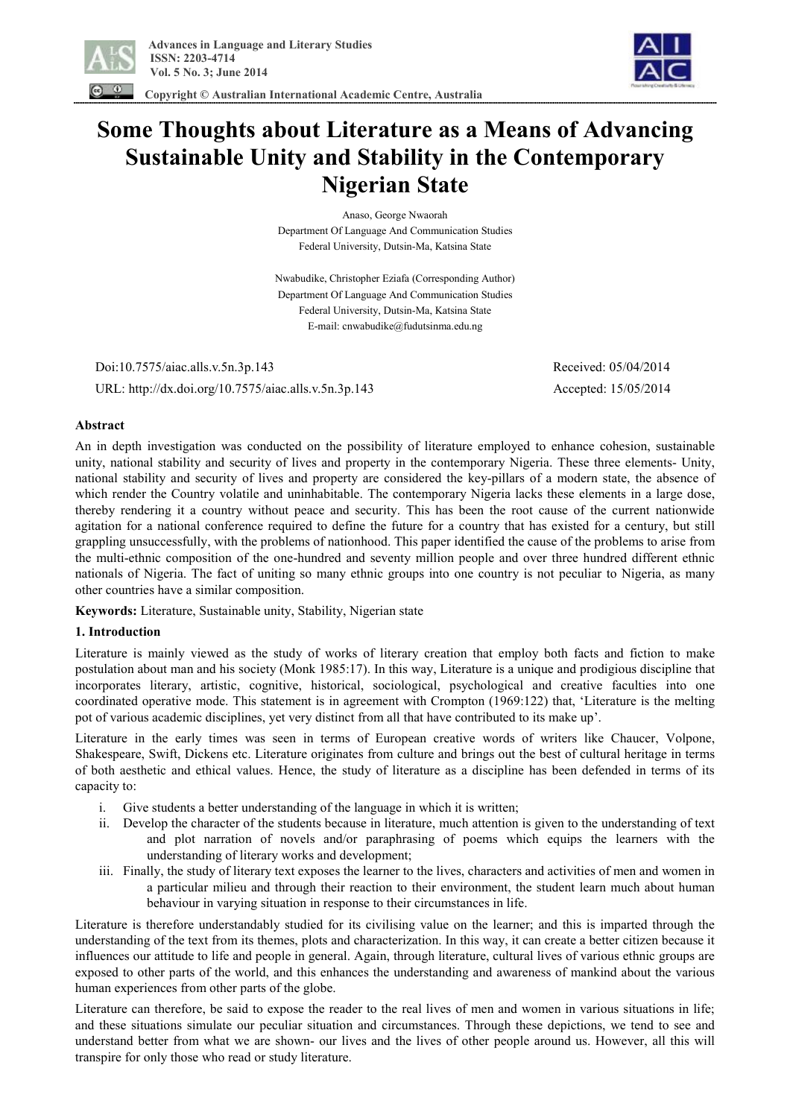

 **Copyright © Australian International Academic Centre, Australia** 



# **Some Thoughts about Literature as a Means of Advancing Sustainable Unity and Stability in the Contemporary Nigerian State**

Anaso, George Nwaorah Department Of Language And Communication Studies Federal University, Dutsin-Ma, Katsina State

Nwabudike, Christopher Eziafa (Corresponding Author) Department Of Language And Communication Studies Federal University, Dutsin-Ma, Katsina State E-mail: cnwabudike@fudutsinma.edu.ng

 Doi:10.7575/aiac.alls.v.5n.3p.143 Received: 05/04/2014 URL: http://dx.doi.org/10.7575/aiac.alls.v.5n.3p.143 Accepted: 15/05/2014

# **Abstract**

An in depth investigation was conducted on the possibility of literature employed to enhance cohesion, sustainable unity, national stability and security of lives and property in the contemporary Nigeria. These three elements- Unity, national stability and security of lives and property are considered the key-pillars of a modern state, the absence of which render the Country volatile and uninhabitable. The contemporary Nigeria lacks these elements in a large dose, thereby rendering it a country without peace and security. This has been the root cause of the current nationwide agitation for a national conference required to define the future for a country that has existed for a century, but still grappling unsuccessfully, with the problems of nationhood. This paper identified the cause of the problems to arise from the multi-ethnic composition of the one-hundred and seventy million people and over three hundred different ethnic nationals of Nigeria. The fact of uniting so many ethnic groups into one country is not peculiar to Nigeria, as many other countries have a similar composition.

**Keywords:** Literature, Sustainable unity, Stability, Nigerian state

#### **1. Introduction**

Literature is mainly viewed as the study of works of literary creation that employ both facts and fiction to make postulation about man and his society (Monk 1985:17). In this way, Literature is a unique and prodigious discipline that incorporates literary, artistic, cognitive, historical, sociological, psychological and creative faculties into one coordinated operative mode. This statement is in agreement with Crompton (1969:122) that, 'Literature is the melting pot of various academic disciplines, yet very distinct from all that have contributed to its make up'.

Literature in the early times was seen in terms of European creative words of writers like Chaucer, Volpone, Shakespeare, Swift, Dickens etc. Literature originates from culture and brings out the best of cultural heritage in terms of both aesthetic and ethical values. Hence, the study of literature as a discipline has been defended in terms of its capacity to:

- i. Give students a better understanding of the language in which it is written;
- ii. Develop the character of the students because in literature, much attention is given to the understanding of text and plot narration of novels and/or paraphrasing of poems which equips the learners with the understanding of literary works and development;
- iii. Finally, the study of literary text exposes the learner to the lives, characters and activities of men and women in a particular milieu and through their reaction to their environment, the student learn much about human behaviour in varying situation in response to their circumstances in life.

Literature is therefore understandably studied for its civilising value on the learner; and this is imparted through the understanding of the text from its themes, plots and characterization. In this way, it can create a better citizen because it influences our attitude to life and people in general. Again, through literature, cultural lives of various ethnic groups are exposed to other parts of the world, and this enhances the understanding and awareness of mankind about the various human experiences from other parts of the globe.

Literature can therefore, be said to expose the reader to the real lives of men and women in various situations in life; and these situations simulate our peculiar situation and circumstances. Through these depictions, we tend to see and understand better from what we are shown- our lives and the lives of other people around us. However, all this will transpire for only those who read or study literature.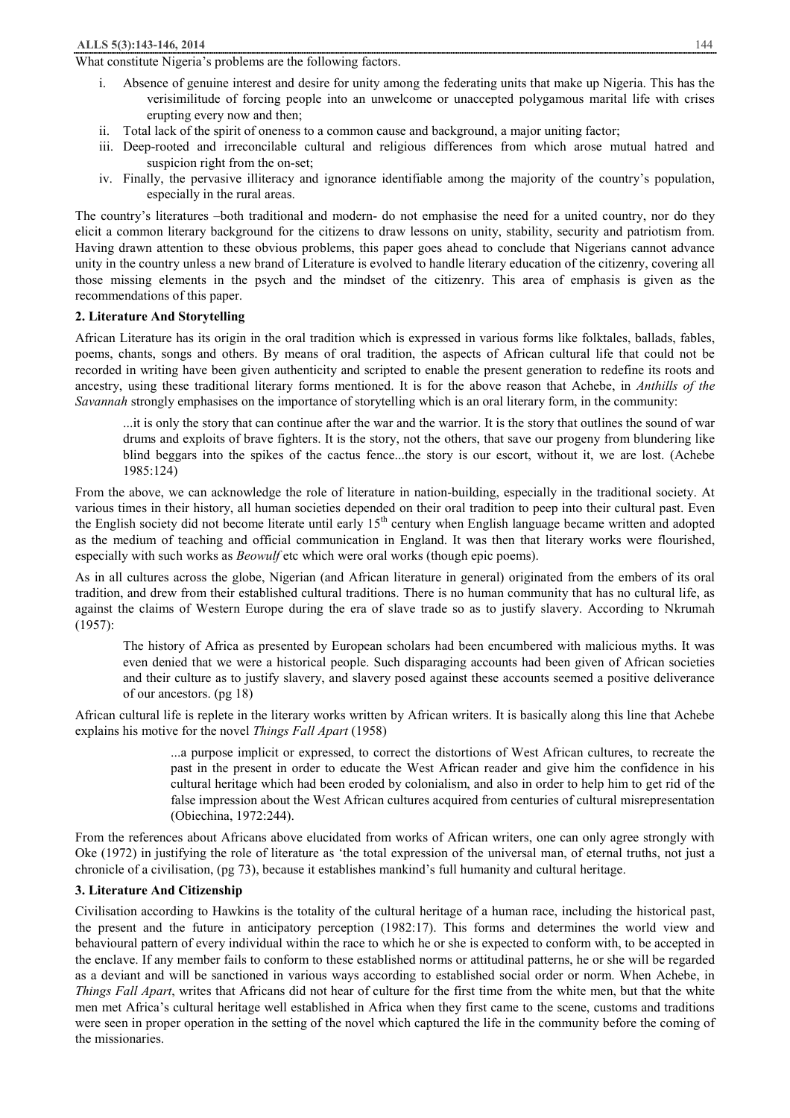#### What constitute Nigeria's problems are the following factors.

- i. Absence of genuine interest and desire for unity among the federating units that make up Nigeria. This has the verisimilitude of forcing people into an unwelcome or unaccepted polygamous marital life with crises erupting every now and then;
- ii. Total lack of the spirit of oneness to a common cause and background, a major uniting factor;
- iii. Deep-rooted and irreconcilable cultural and religious differences from which arose mutual hatred and suspicion right from the on-set;
- iv. Finally, the pervasive illiteracy and ignorance identifiable among the majority of the country's population, especially in the rural areas.

The country's literatures –both traditional and modern- do not emphasise the need for a united country, nor do they elicit a common literary background for the citizens to draw lessons on unity, stability, security and patriotism from. Having drawn attention to these obvious problems, this paper goes ahead to conclude that Nigerians cannot advance unity in the country unless a new brand of Literature is evolved to handle literary education of the citizenry, covering all those missing elements in the psych and the mindset of the citizenry. This area of emphasis is given as the recommendations of this paper.

#### **2. Literature And Storytelling**

African Literature has its origin in the oral tradition which is expressed in various forms like folktales, ballads, fables, poems, chants, songs and others. By means of oral tradition, the aspects of African cultural life that could not be recorded in writing have been given authenticity and scripted to enable the present generation to redefine its roots and ancestry, using these traditional literary forms mentioned. It is for the above reason that Achebe, in *Anthills of the Savannah* strongly emphasises on the importance of storytelling which is an oral literary form, in the community:

...it is only the story that can continue after the war and the warrior. It is the story that outlines the sound of war drums and exploits of brave fighters. It is the story, not the others, that save our progeny from blundering like blind beggars into the spikes of the cactus fence...the story is our escort, without it, we are lost. (Achebe 1985:124)

From the above, we can acknowledge the role of literature in nation-building, especially in the traditional society. At various times in their history, all human societies depended on their oral tradition to peep into their cultural past. Even the English society did not become literate until early  $15<sup>th</sup>$  century when English language became written and adopted as the medium of teaching and official communication in England. It was then that literary works were flourished, especially with such works as *Beowulf* etc which were oral works (though epic poems).

As in all cultures across the globe, Nigerian (and African literature in general) originated from the embers of its oral tradition, and drew from their established cultural traditions. There is no human community that has no cultural life, as against the claims of Western Europe during the era of slave trade so as to justify slavery. According to Nkrumah (1957):

The history of Africa as presented by European scholars had been encumbered with malicious myths. It was even denied that we were a historical people. Such disparaging accounts had been given of African societies and their culture as to justify slavery, and slavery posed against these accounts seemed a positive deliverance of our ancestors. (pg 18)

African cultural life is replete in the literary works written by African writers. It is basically along this line that Achebe explains his motive for the novel *Things Fall Apart* (1958)

> ...a purpose implicit or expressed, to correct the distortions of West African cultures, to recreate the past in the present in order to educate the West African reader and give him the confidence in his cultural heritage which had been eroded by colonialism, and also in order to help him to get rid of the false impression about the West African cultures acquired from centuries of cultural misrepresentation (Obiechina, 1972:244).

From the references about Africans above elucidated from works of African writers, one can only agree strongly with Oke (1972) in justifying the role of literature as 'the total expression of the universal man, of eternal truths, not just a chronicle of a civilisation, (pg 73), because it establishes mankind's full humanity and cultural heritage.

#### **3. Literature And Citizenship**

Civilisation according to Hawkins is the totality of the cultural heritage of a human race, including the historical past, the present and the future in anticipatory perception (1982:17). This forms and determines the world view and behavioural pattern of every individual within the race to which he or she is expected to conform with, to be accepted in the enclave. If any member fails to conform to these established norms or attitudinal patterns, he or she will be regarded as a deviant and will be sanctioned in various ways according to established social order or norm. When Achebe, in *Things Fall Apart*, writes that Africans did not hear of culture for the first time from the white men, but that the white men met Africa's cultural heritage well established in Africa when they first came to the scene, customs and traditions were seen in proper operation in the setting of the novel which captured the life in the community before the coming of the missionaries.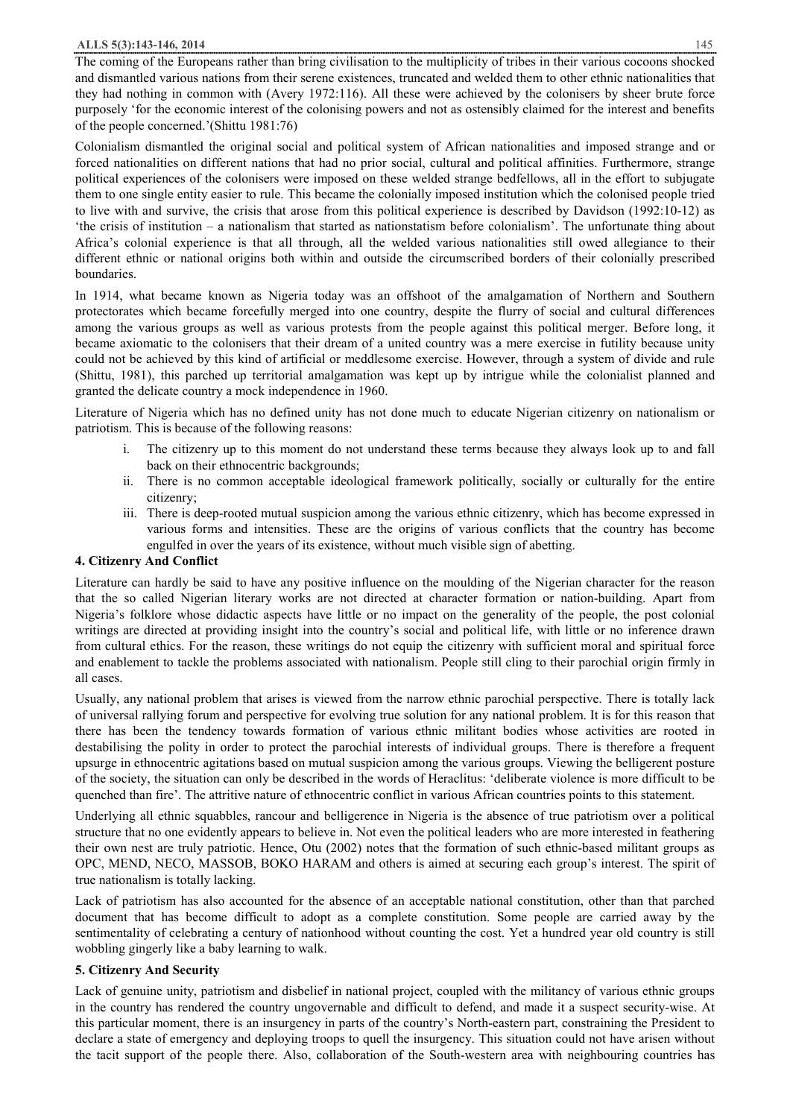#### **ALLS 5(3):143-146, 2014** 145

The coming of the Europeans rather than bring civilisation to the multiplicity of tribes in their various cocoons shocked and dismantled various nations from their serene existences, truncated and welded them to other ethnic nationalities that they had nothing in common with (Avery 1972:116). All these were achieved by the colonisers by sheer brute force purposely 'for the economic interest of the colonising powers and not as ostensibly claimed for the interest and benefits of the people concerned.'(Shittu 1981:76)

Colonialism dismantled the original social and political system of African nationalities and imposed strange and or forced nationalities on different nations that had no prior social, cultural and political affinities. Furthermore, strange political experiences of the colonisers were imposed on these welded strange bedfellows, all in the effort to subjugate them to one single entity easier to rule. This became the colonially imposed institution which the colonised people tried to live with and survive, the crisis that arose from this political experience is described by Davidson (1992:10-12) as 'the crisis of institution – a nationalism that started as nationstatism before colonialism'. The unfortunate thing about Africa's colonial experience is that all through, all the welded various nationalities still owed allegiance to their different ethnic or national origins both within and outside the circumscribed borders of their colonially prescribed boundaries.

In 1914, what became known as Nigeria today was an offshoot of the amalgamation of Northern and Southern protectorates which became forcefully merged into one country, despite the flurry of social and cultural differences among the various groups as well as various protests from the people against this political merger. Before long, it became axiomatic to the colonisers that their dream of a united country was a mere exercise in futility because unity could not be achieved by this kind of artificial or meddlesome exercise. However, through a system of divide and rule (Shittu, 1981), this parched up territorial amalgamation was kept up by intrigue while the colonialist planned and granted the delicate country a mock independence in 1960.

Literature of Nigeria which has no defined unity has not done much to educate Nigerian citizenry on nationalism or patriotism. This is because of the following reasons:

- i. The citizenry up to this moment do not understand these terms because they always look up to and fall back on their ethnocentric backgrounds;
- ii. There is no common acceptable ideological framework politically, socially or culturally for the entire citizenry;
- iii. There is deep-rooted mutual suspicion among the various ethnic citizenry, which has become expressed in various forms and intensities. These are the origins of various conflicts that the country has become engulfed in over the years of its existence, without much visible sign of abetting.

# **4. Citizenry And Conflict**

Literature can hardly be said to have any positive influence on the moulding of the Nigerian character for the reason that the so called Nigerian literary works are not directed at character formation or nation-building. Apart from Nigeria's folklore whose didactic aspects have little or no impact on the generality of the people, the post colonial writings are directed at providing insight into the country's social and political life, with little or no inference drawn from cultural ethics. For the reason, these writings do not equip the citizenry with sufficient moral and spiritual force and enablement to tackle the problems associated with nationalism. People still cling to their parochial origin firmly in all cases.

Usually, any national problem that arises is viewed from the narrow ethnic parochial perspective. There is totally lack of universal rallying forum and perspective for evolving true solution for any national problem. It is for this reason that there has been the tendency towards formation of various ethnic militant bodies whose activities are rooted in destabilising the polity in order to protect the parochial interests of individual groups. There is therefore a frequent upsurge in ethnocentric agitations based on mutual suspicion among the various groups. Viewing the belligerent posture of the society, the situation can only be described in the words of Heraclitus: 'deliberate violence is more difficult to be quenched than fire'. The attritive nature of ethnocentric conflict in various African countries points to this statement.

Underlying all ethnic squabbles, rancour and belligerence in Nigeria is the absence of true patriotism over a political structure that no one evidently appears to believe in. Not even the political leaders who are more interested in feathering their own nest are truly patriotic. Hence, Otu (2002) notes that the formation of such ethnic-based militant groups as OPC, MEND, NECO, MASSOB, BOKO HARAM and others is aimed at securing each group's interest. The spirit of true nationalism is totally lacking.

Lack of patriotism has also accounted for the absence of an acceptable national constitution, other than that parched document that has become difficult to adopt as a complete constitution. Some people are carried away by the sentimentality of celebrating a century of nationhood without counting the cost. Yet a hundred year old country is still wobbling gingerly like a baby learning to walk.

# **5. Citizenry And Security**

Lack of genuine unity, patriotism and disbelief in national project, coupled with the militancy of various ethnic groups in the country has rendered the country ungovernable and difficult to defend, and made it a suspect security-wise. At this particular moment, there is an insurgency in parts of the country's North-eastern part, constraining the President to declare a state of emergency and deploying troops to quell the insurgency. This situation could not have arisen without the tacit support of the people there. Also, collaboration of the South-western area with neighbouring countries has